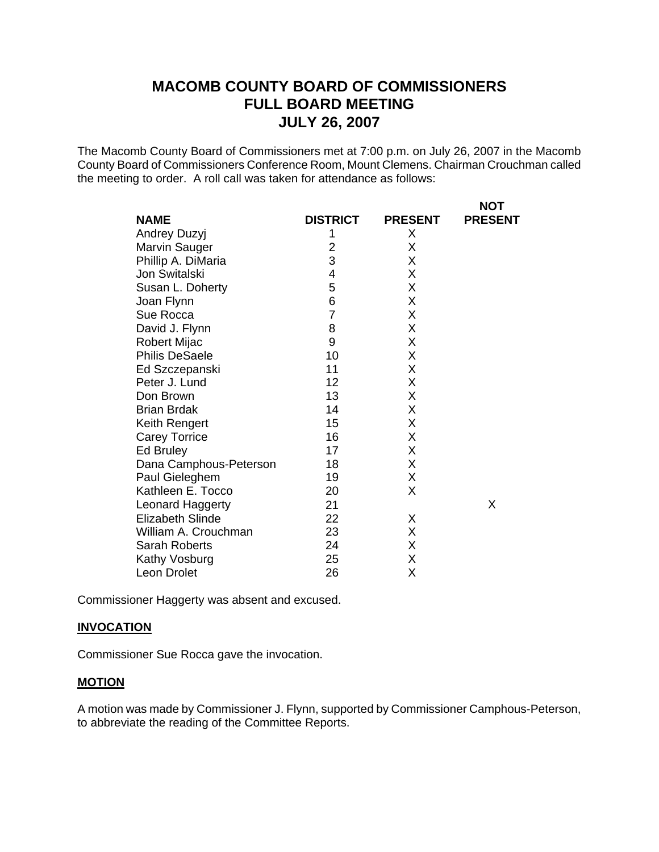The Macomb County Board of Commissioners met at 7:00 p.m. on July 26, 2007 in the Macomb County Board of Commissioners Conference Room, Mount Clemens. Chairman Crouchman called the meeting to order. A roll call was taken for attendance as follows:

|                         |                 |                | <b>NOT</b>     |
|-------------------------|-----------------|----------------|----------------|
| <b>NAME</b>             | <b>DISTRICT</b> | <b>PRESENT</b> | <b>PRESENT</b> |
| Andrey Duzyj            | 1               | X              |                |
| Marvin Sauger           | $\overline{2}$  | Χ              |                |
| Phillip A. DiMaria      | 3               | Χ              |                |
| Jon Switalski           | 4               | X              |                |
| Susan L. Doherty        | 5               | X              |                |
| Joan Flynn              | 6               | X              |                |
| Sue Rocca               | 7               | X              |                |
| David J. Flynn          | 8               | X              |                |
| <b>Robert Mijac</b>     | 9               | Χ              |                |
| <b>Philis DeSaele</b>   | 10              | X              |                |
| Ed Szczepanski          | 11              | X              |                |
| Peter J. Lund           | 12              | Χ              |                |
| Don Brown               | 13              | Χ              |                |
| <b>Brian Brdak</b>      | 14              | X              |                |
| Keith Rengert           | 15              | Χ              |                |
| <b>Carey Torrice</b>    | 16              | Χ              |                |
| Ed Bruley               | 17              | X              |                |
| Dana Camphous-Peterson  | 18              | X              |                |
| Paul Gieleghem          | 19              | X              |                |
| Kathleen E. Tocco       | 20              | X              |                |
| Leonard Haggerty        | 21              |                | X              |
| <b>Elizabeth Slinde</b> | 22              | X              |                |
| William A. Crouchman    | 23              | Χ              |                |
| <b>Sarah Roberts</b>    | 24              | X              |                |
| Kathy Vosburg           | 25              | Χ              |                |
| Leon Drolet             | 26              | Χ              |                |

Commissioner Haggerty was absent and excused.

#### **INVOCATION**

Commissioner Sue Rocca gave the invocation.

# **MOTION**

A motion was made by Commissioner J. Flynn, supported by Commissioner Camphous-Peterson, to abbreviate the reading of the Committee Reports.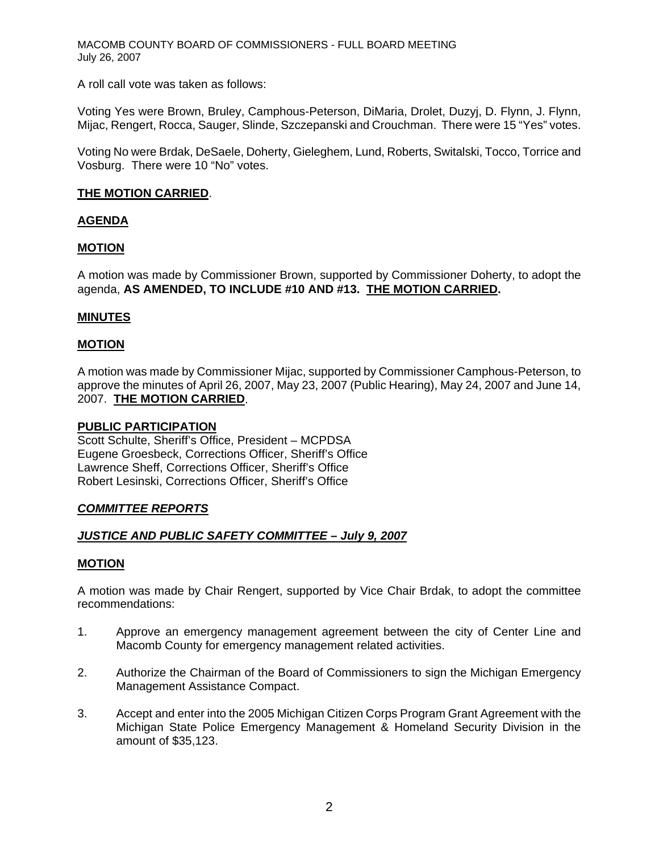A roll call vote was taken as follows:

Voting Yes were Brown, Bruley, Camphous-Peterson, DiMaria, Drolet, Duzyj, D. Flynn, J. Flynn, Mijac, Rengert, Rocca, Sauger, Slinde, Szczepanski and Crouchman. There were 15 "Yes" votes.

Voting No were Brdak, DeSaele, Doherty, Gieleghem, Lund, Roberts, Switalski, Tocco, Torrice and Vosburg. There were 10 "No" votes.

#### **THE MOTION CARRIED**.

#### **AGENDA**

#### **MOTION**

A motion was made by Commissioner Brown, supported by Commissioner Doherty, to adopt the agenda, **AS AMENDED, TO INCLUDE #10 AND #13. THE MOTION CARRIED.**

#### **MINUTES**

#### **MOTION**

A motion was made by Commissioner Mijac, supported by Commissioner Camphous-Peterson, to approve the minutes of April 26, 2007, May 23, 2007 (Public Hearing), May 24, 2007 and June 14, 2007. **THE MOTION CARRIED**.

#### **PUBLIC PARTICIPATION**

Scott Schulte, Sheriff's Office, President – MCPDSA Eugene Groesbeck, Corrections Officer, Sheriff's Office Lawrence Sheff, Corrections Officer, Sheriff's Office Robert Lesinski, Corrections Officer, Sheriff's Office

#### *COMMITTEE REPORTS*

#### *JUSTICE AND PUBLIC SAFETY COMMITTEE – July 9, 2007*

# **MOTION**

A motion was made by Chair Rengert, supported by Vice Chair Brdak, to adopt the committee recommendations:

- 1. Approve an emergency management agreement between the city of Center Line and Macomb County for emergency management related activities.
- 2. Authorize the Chairman of the Board of Commissioners to sign the Michigan Emergency Management Assistance Compact.
- 3. Accept and enter into the 2005 Michigan Citizen Corps Program Grant Agreement with the Michigan State Police Emergency Management & Homeland Security Division in the amount of \$35,123.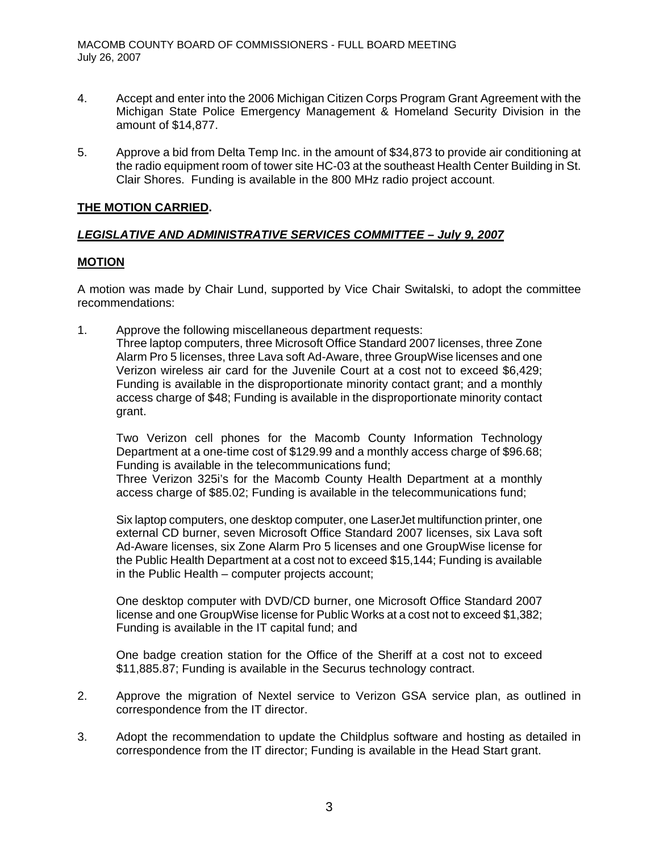- 4. Accept and enter into the 2006 Michigan Citizen Corps Program Grant Agreement with the Michigan State Police Emergency Management & Homeland Security Division in the amount of \$14,877.
- 5. Approve a bid from Delta Temp Inc. in the amount of \$34,873 to provide air conditioning at the radio equipment room of tower site HC-03 at the southeast Health Center Building in St. Clair Shores. Funding is available in the 800 MHz radio project account.

# **THE MOTION CARRIED.**

# *LEGISLATIVE AND ADMINISTRATIVE SERVICES COMMITTEE – July 9, 2007*

# **MOTION**

A motion was made by Chair Lund, supported by Vice Chair Switalski, to adopt the committee recommendations:

1. Approve the following miscellaneous department requests: Three laptop computers, three Microsoft Office Standard 2007 licenses, three Zone Alarm Pro 5 licenses, three Lava soft Ad-Aware, three GroupWise licenses and one Verizon wireless air card for the Juvenile Court at a cost not to exceed \$6,429; Funding is available in the disproportionate minority contact grant; and a monthly access charge of \$48; Funding is available in the disproportionate minority contact grant.

Two Verizon cell phones for the Macomb County Information Technology Department at a one-time cost of \$129.99 and a monthly access charge of \$96.68; Funding is available in the telecommunications fund;

Three Verizon 325i's for the Macomb County Health Department at a monthly access charge of \$85.02; Funding is available in the telecommunications fund;

Six laptop computers, one desktop computer, one LaserJet multifunction printer, one external CD burner, seven Microsoft Office Standard 2007 licenses, six Lava soft Ad-Aware licenses, six Zone Alarm Pro 5 licenses and one GroupWise license for the Public Health Department at a cost not to exceed \$15,144; Funding is available in the Public Health – computer projects account;

One desktop computer with DVD/CD burner, one Microsoft Office Standard 2007 license and one GroupWise license for Public Works at a cost not to exceed \$1,382; Funding is available in the IT capital fund; and

One badge creation station for the Office of the Sheriff at a cost not to exceed \$11,885.87; Funding is available in the Securus technology contract.

- 2. Approve the migration of Nextel service to Verizon GSA service plan, as outlined in correspondence from the IT director.
- 3. Adopt the recommendation to update the Childplus software and hosting as detailed in correspondence from the IT director; Funding is available in the Head Start grant.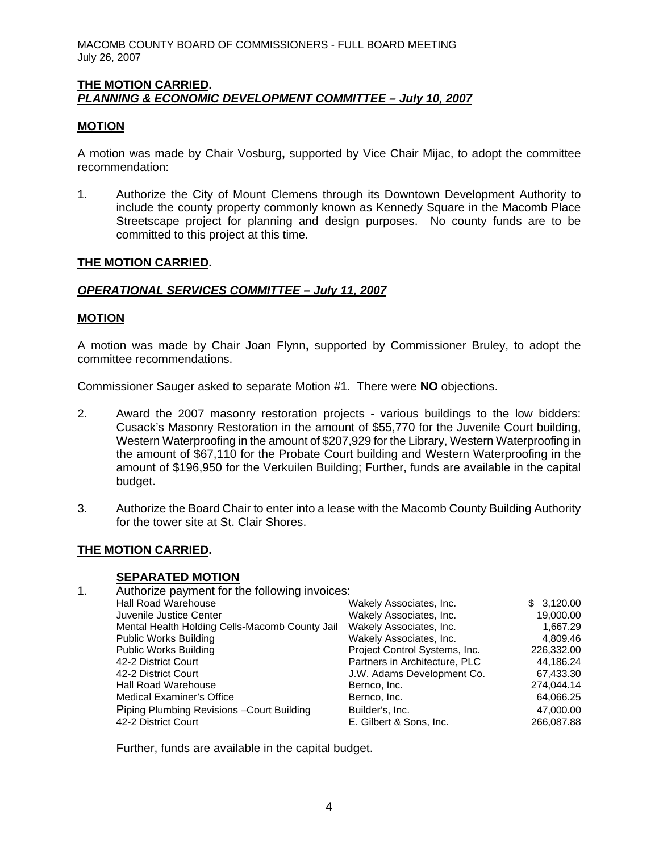### **THE MOTION CARRIED.**  *PLANNING & ECONOMIC DEVELOPMENT COMMITTEE – July 10, 2007*

### **MOTION**

A motion was made by Chair Vosburg**,** supported by Vice Chair Mijac, to adopt the committee recommendation:

1. Authorize the City of Mount Clemens through its Downtown Development Authority to include the county property commonly known as Kennedy Square in the Macomb Place Streetscape project for planning and design purposes. No county funds are to be committed to this project at this time.

#### **THE MOTION CARRIED.**

#### *OPERATIONAL SERVICES COMMITTEE – July 11, 2007*

#### **MOTION**

A motion was made by Chair Joan Flynn**,** supported by Commissioner Bruley, to adopt the committee recommendations.

Commissioner Sauger asked to separate Motion #1. There were **NO** objections.

- 2. Award the 2007 masonry restoration projects various buildings to the low bidders: Cusack's Masonry Restoration in the amount of \$55,770 for the Juvenile Court building, Western Waterproofing in the amount of \$207,929 for the Library, Western Waterproofing in the amount of \$67,110 for the Probate Court building and Western Waterproofing in the amount of \$196,950 for the Verkuilen Building; Further, funds are available in the capital budget.
- 3. Authorize the Board Chair to enter into a lease with the Macomb County Building Authority for the tower site at St. Clair Shores.

#### **THE MOTION CARRIED.**

#### **SEPARATED MOTION**

| 1. | Authorize payment for the following invoices:  |                               |            |  |
|----|------------------------------------------------|-------------------------------|------------|--|
|    | <b>Hall Road Warehouse</b>                     | Wakely Associates, Inc.       | \$3,120.00 |  |
|    | Juvenile Justice Center                        | Wakely Associates, Inc.       | 19,000.00  |  |
|    | Mental Health Holding Cells-Macomb County Jail | Wakely Associates, Inc.       | 1,667.29   |  |
|    | <b>Public Works Building</b>                   | Wakely Associates, Inc.       | 4,809.46   |  |
|    | <b>Public Works Building</b>                   | Project Control Systems, Inc. | 226,332.00 |  |
|    | 42-2 District Court                            | Partners in Architecture, PLC | 44,186.24  |  |
|    | 42-2 District Court                            | J.W. Adams Development Co.    | 67,433.30  |  |
|    | <b>Hall Road Warehouse</b>                     | Bernco, Inc.                  | 274,044.14 |  |
|    | <b>Medical Examiner's Office</b>               | Bernco, Inc.                  | 64,066.25  |  |
|    | Piping Plumbing Revisions - Court Building     | Builder's, Inc.               | 47,000.00  |  |
|    | 42-2 District Court                            | E. Gilbert & Sons, Inc.       | 266.087.88 |  |

Further, funds are available in the capital budget.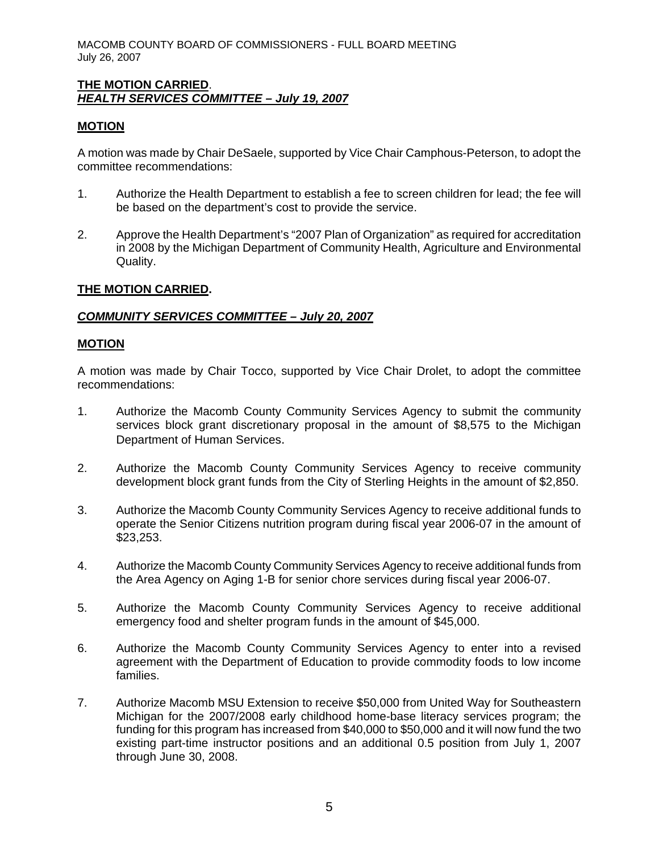### **THE MOTION CARRIED**. *HEALTH SERVICES COMMITTEE – July 19, 2007*

### **MOTION**

A motion was made by Chair DeSaele, supported by Vice Chair Camphous-Peterson, to adopt the committee recommendations:

- 1. Authorize the Health Department to establish a fee to screen children for lead; the fee will be based on the department's cost to provide the service.
- 2. Approve the Health Department's "2007 Plan of Organization" as required for accreditation in 2008 by the Michigan Department of Community Health, Agriculture and Environmental Quality.

# **THE MOTION CARRIED.**

#### *COMMUNITY SERVICES COMMITTEE – July 20, 2007*

#### **MOTION**

A motion was made by Chair Tocco, supported by Vice Chair Drolet, to adopt the committee recommendations:

- 1. Authorize the Macomb County Community Services Agency to submit the community services block grant discretionary proposal in the amount of \$8,575 to the Michigan Department of Human Services.
- 2. Authorize the Macomb County Community Services Agency to receive community development block grant funds from the City of Sterling Heights in the amount of \$2,850.
- 3. Authorize the Macomb County Community Services Agency to receive additional funds to operate the Senior Citizens nutrition program during fiscal year 2006-07 in the amount of \$23,253.
- 4. Authorize the Macomb County Community Services Agency to receive additional funds from the Area Agency on Aging 1-B for senior chore services during fiscal year 2006-07.
- 5. Authorize the Macomb County Community Services Agency to receive additional emergency food and shelter program funds in the amount of \$45,000.
- 6. Authorize the Macomb County Community Services Agency to enter into a revised agreement with the Department of Education to provide commodity foods to low income families.
- 7. Authorize Macomb MSU Extension to receive \$50,000 from United Way for Southeastern Michigan for the 2007/2008 early childhood home-base literacy services program; the funding for this program has increased from \$40,000 to \$50,000 and it will now fund the two existing part-time instructor positions and an additional 0.5 position from July 1, 2007 through June 30, 2008.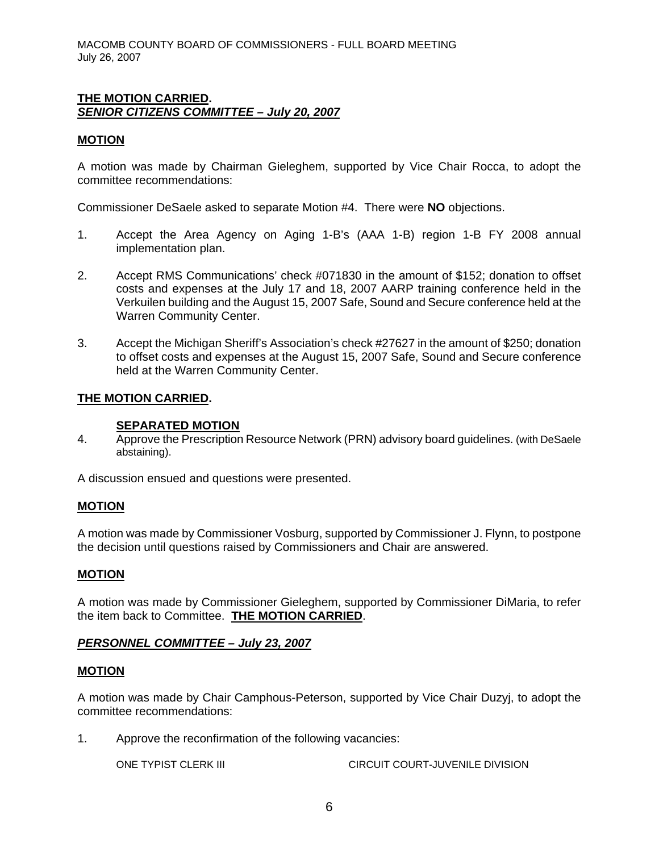# **THE MOTION CARRIED.**  *SENIOR CITIZENS COMMITTEE – July 20, 2007*

### **MOTION**

A motion was made by Chairman Gieleghem, supported by Vice Chair Rocca, to adopt the committee recommendations:

Commissioner DeSaele asked to separate Motion #4. There were **NO** objections.

- 1. Accept the Area Agency on Aging 1-B's (AAA 1-B) region 1-B FY 2008 annual implementation plan.
- 2. Accept RMS Communications' check #071830 in the amount of \$152; donation to offset costs and expenses at the July 17 and 18, 2007 AARP training conference held in the Verkuilen building and the August 15, 2007 Safe, Sound and Secure conference held at the Warren Community Center.
- 3. Accept the Michigan Sheriff's Association's check #27627 in the amount of \$250; donation to offset costs and expenses at the August 15, 2007 Safe, Sound and Secure conference held at the Warren Community Center.

# **THE MOTION CARRIED.**

#### **SEPARATED MOTION**

4. Approve the Prescription Resource Network (PRN) advisory board guidelines. (with DeSaele abstaining).

A discussion ensued and questions were presented.

#### **MOTION**

A motion was made by Commissioner Vosburg, supported by Commissioner J. Flynn, to postpone the decision until questions raised by Commissioners and Chair are answered.

#### **MOTION**

A motion was made by Commissioner Gieleghem, supported by Commissioner DiMaria, to refer the item back to Committee. **THE MOTION CARRIED**.

#### *PERSONNEL COMMITTEE – July 23, 2007*

#### **MOTION**

A motion was made by Chair Camphous-Peterson, supported by Vice Chair Duzyj, to adopt the committee recommendations:

1. Approve the reconfirmation of the following vacancies:

ONE TYPIST CLERK III CIRCUIT COURT-JUVENILE DIVISION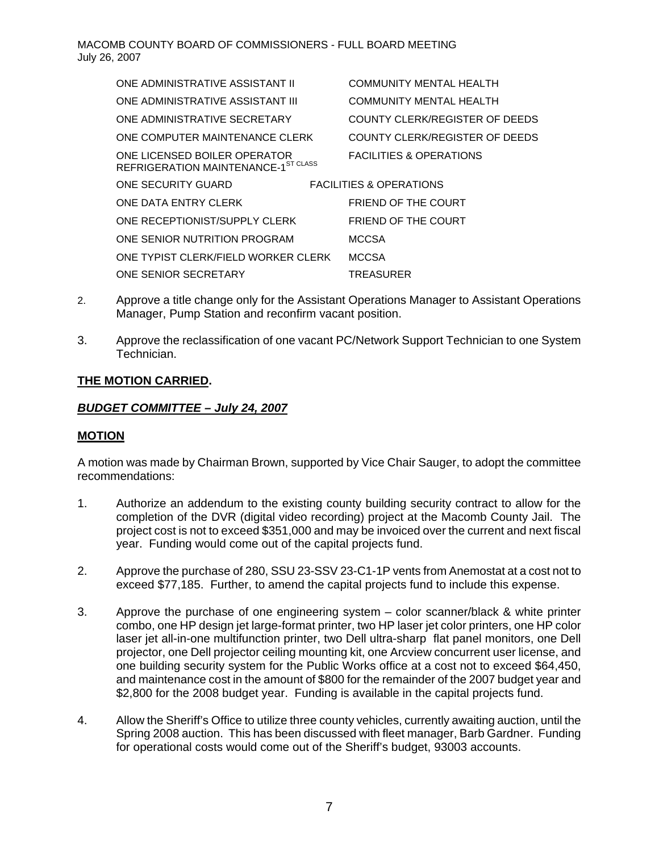| ONE ADMINISTRATIVE ASSISTANT II                                     | <b>COMMUNITY MENTAL HEALTH</b>     |  |
|---------------------------------------------------------------------|------------------------------------|--|
| ONE ADMINISTRATIVE ASSISTANT III                                    | <b>COMMUNITY MENTAL HEALTH</b>     |  |
| ONE ADMINISTRATIVE SECRETARY                                        | COUNTY CLERK/REGISTER OF DEEDS     |  |
| ONE COMPUTER MAINTENANCE CLERK                                      | COUNTY CLERK/REGISTER OF DEEDS     |  |
| ONE LICENSED BOILER OPERATOR<br>REFRIGERATION MAINTENANCE-1ST CLASS | <b>FACILITIES &amp; OPERATIONS</b> |  |
| ONE SECURITY GUARD                                                  | <b>FACILITIES &amp; OPERATIONS</b> |  |
| ONE DATA ENTRY CLERK                                                | FRIEND OF THE COURT                |  |
| ONE RECEPTIONIST/SUPPLY CLERK                                       | FRIEND OF THE COURT                |  |
| ONE SENIOR NUTRITION PROGRAM                                        | <b>MCCSA</b>                       |  |
| ONE TYPIST CLERK/FIELD WORKER CLERK                                 | <b>MCCSA</b>                       |  |
| ONE SENIOR SECRETARY                                                | TREASURER                          |  |

- 2. Approve a title change only for the Assistant Operations Manager to Assistant Operations Manager, Pump Station and reconfirm vacant position.
- 3. Approve the reclassification of one vacant PC/Network Support Technician to one System Technician.

# **THE MOTION CARRIED.**

# *BUDGET COMMITTEE – July 24, 2007*

# **MOTION**

A motion was made by Chairman Brown, supported by Vice Chair Sauger, to adopt the committee recommendations:

- 1. Authorize an addendum to the existing county building security contract to allow for the completion of the DVR (digital video recording) project at the Macomb County Jail. The project cost is not to exceed \$351,000 and may be invoiced over the current and next fiscal year. Funding would come out of the capital projects fund.
- 2. Approve the purchase of 280, SSU 23-SSV 23-C1-1P vents from Anemostat at a cost not to exceed \$77,185. Further, to amend the capital projects fund to include this expense.
- 3. Approve the purchase of one engineering system color scanner/black & white printer combo, one HP design jet large-format printer, two HP laser jet color printers, one HP color laser jet all-in-one multifunction printer, two Dell ultra-sharp flat panel monitors, one Dell projector, one Dell projector ceiling mounting kit, one Arcview concurrent user license, and one building security system for the Public Works office at a cost not to exceed \$64,450, and maintenance cost in the amount of \$800 for the remainder of the 2007 budget year and \$2,800 for the 2008 budget year. Funding is available in the capital projects fund.
- 4. Allow the Sheriff's Office to utilize three county vehicles, currently awaiting auction, until the Spring 2008 auction. This has been discussed with fleet manager, Barb Gardner. Funding for operational costs would come out of the Sheriff's budget, 93003 accounts.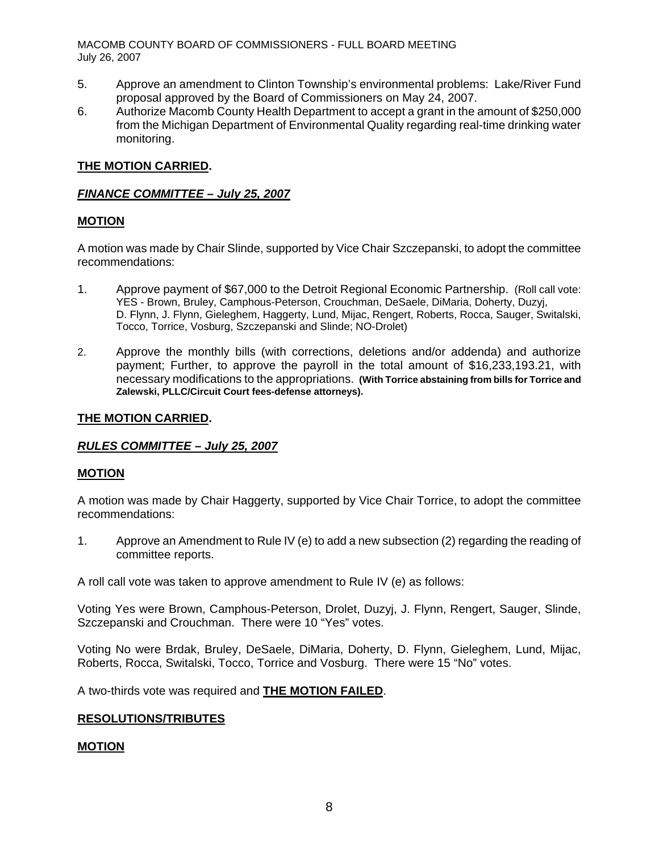- 5. Approve an amendment to Clinton Township's environmental problems: Lake/River Fund proposal approved by the Board of Commissioners on May 24, 2007.
- 6. Authorize Macomb County Health Department to accept a grant in the amount of \$250,000 from the Michigan Department of Environmental Quality regarding real-time drinking water monitoring.

# **THE MOTION CARRIED.**

# *FINANCE COMMITTEE – July 25, 2007*

# **MOTION**

A motion was made by Chair Slinde, supported by Vice Chair Szczepanski, to adopt the committee recommendations:

- 1. Approve payment of \$67,000 to the Detroit Regional Economic Partnership. (Roll call vote: YES - Brown, Bruley, Camphous-Peterson, Crouchman, DeSaele, DiMaria, Doherty, Duzyj, D. Flynn, J. Flynn, Gieleghem, Haggerty, Lund, Mijac, Rengert, Roberts, Rocca, Sauger, Switalski, Tocco, Torrice, Vosburg, Szczepanski and Slinde; NO-Drolet)
- 2. Approve the monthly bills (with corrections, deletions and/or addenda) and authorize payment; Further, to approve the payroll in the total amount of \$16,233,193.21, with necessary modifications to the appropriations. **(With Torrice abstaining from bills for Torrice and Zalewski, PLLC/Circuit Court fees-defense attorneys).**

#### **THE MOTION CARRIED.**

# *RULES COMMITTEE – July 25, 2007*

# **MOTION**

A motion was made by Chair Haggerty, supported by Vice Chair Torrice, to adopt the committee recommendations:

1. Approve an Amendment to Rule IV (e) to add a new subsection (2) regarding the reading of committee reports.

A roll call vote was taken to approve amendment to Rule IV (e) as follows:

Voting Yes were Brown, Camphous-Peterson, Drolet, Duzyj, J. Flynn, Rengert, Sauger, Slinde, Szczepanski and Crouchman. There were 10 "Yes" votes.

Voting No were Brdak, Bruley, DeSaele, DiMaria, Doherty, D. Flynn, Gieleghem, Lund, Mijac, Roberts, Rocca, Switalski, Tocco, Torrice and Vosburg. There were 15 "No" votes.

A two-thirds vote was required and **THE MOTION FAILED**.

# **RESOLUTIONS/TRIBUTES**

#### **MOTION**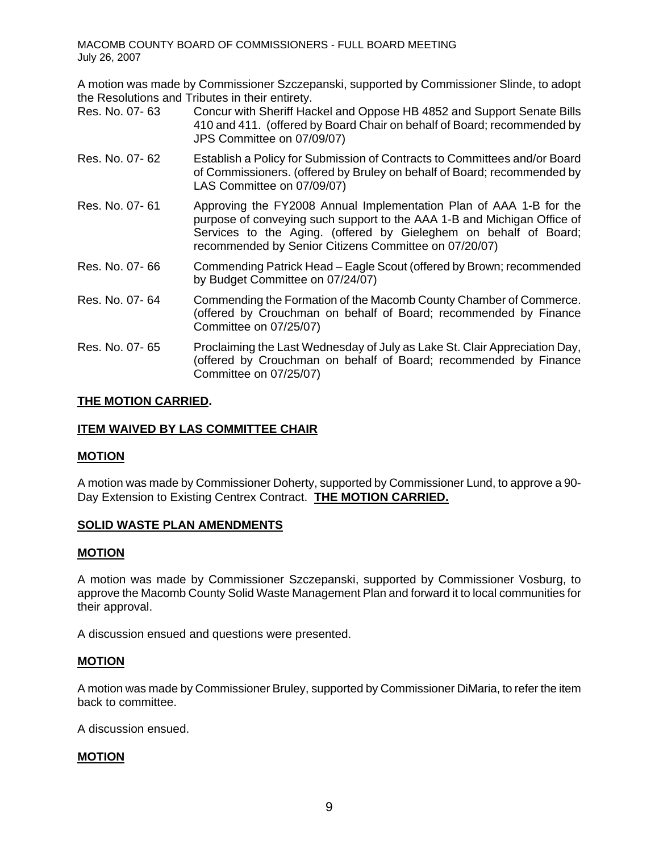A motion was made by Commissioner Szczepanski, supported by Commissioner Slinde, to adopt the Resolutions and Tributes in their entirety.

- Res. No. 07- 63 Concur with Sheriff Hackel and Oppose HB 4852 and Support Senate Bills 410 and 411. (offered by Board Chair on behalf of Board; recommended by JPS Committee on 07/09/07)
- Res. No. 07- 62 Establish a Policy for Submission of Contracts to Committees and/or Board of Commissioners. (offered by Bruley on behalf of Board; recommended by LAS Committee on 07/09/07)
- Res. No. 07- 61 Approving the FY2008 Annual Implementation Plan of AAA 1-B for the purpose of conveying such support to the AAA 1-B and Michigan Office of Services to the Aging. (offered by Gieleghem on behalf of Board; recommended by Senior Citizens Committee on 07/20/07)
- Res. No. 07- 66 Commending Patrick Head Eagle Scout (offered by Brown; recommended by Budget Committee on 07/24/07)
- Res. No. 07- 64 Commending the Formation of the Macomb County Chamber of Commerce. (offered by Crouchman on behalf of Board; recommended by Finance Committee on 07/25/07)
- Res. No. 07- 65 Proclaiming the Last Wednesday of July as Lake St. Clair Appreciation Day, (offered by Crouchman on behalf of Board; recommended by Finance Committee on 07/25/07)

# **THE MOTION CARRIED.**

# **ITEM WAIVED BY LAS COMMITTEE CHAIR**

# **MOTION**

A motion was made by Commissioner Doherty, supported by Commissioner Lund, to approve a 90- Day Extension to Existing Centrex Contract. **THE MOTION CARRIED.**

# **SOLID WASTE PLAN AMENDMENTS**

# **MOTION**

A motion was made by Commissioner Szczepanski, supported by Commissioner Vosburg, to approve the Macomb County Solid Waste Management Plan and forward it to local communities for their approval.

A discussion ensued and questions were presented.

# **MOTION**

A motion was made by Commissioner Bruley, supported by Commissioner DiMaria, to refer the item back to committee.

A discussion ensued.

# **MOTION**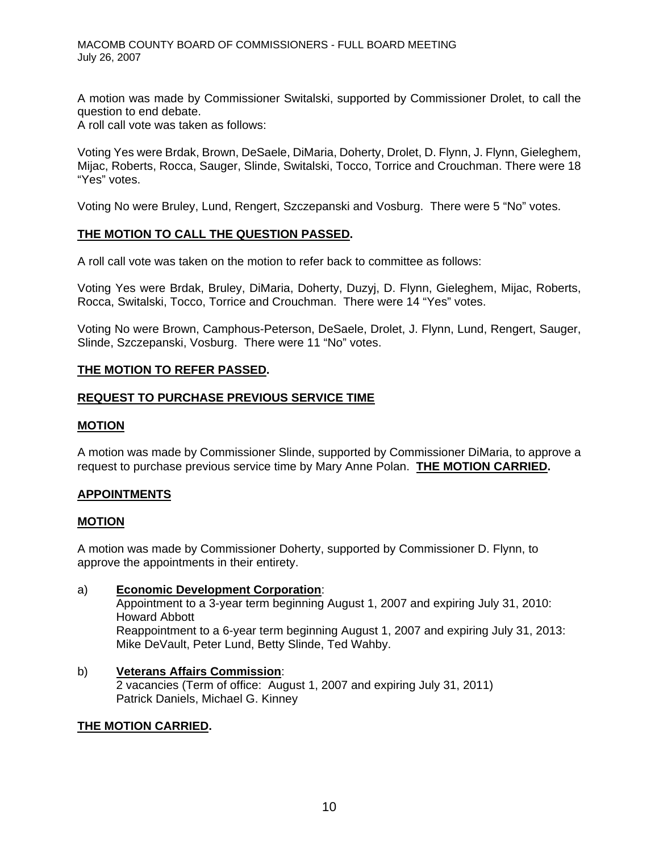A motion was made by Commissioner Switalski, supported by Commissioner Drolet, to call the question to end debate.

A roll call vote was taken as follows:

Voting Yes were Brdak, Brown, DeSaele, DiMaria, Doherty, Drolet, D. Flynn, J. Flynn, Gieleghem, Mijac, Roberts, Rocca, Sauger, Slinde, Switalski, Tocco, Torrice and Crouchman. There were 18 "Yes" votes.

Voting No were Bruley, Lund, Rengert, Szczepanski and Vosburg. There were 5 "No" votes.

# **THE MOTION TO CALL THE QUESTION PASSED.**

A roll call vote was taken on the motion to refer back to committee as follows:

Voting Yes were Brdak, Bruley, DiMaria, Doherty, Duzyj, D. Flynn, Gieleghem, Mijac, Roberts, Rocca, Switalski, Tocco, Torrice and Crouchman. There were 14 "Yes" votes.

Voting No were Brown, Camphous-Peterson, DeSaele, Drolet, J. Flynn, Lund, Rengert, Sauger, Slinde, Szczepanski, Vosburg. There were 11 "No" votes.

# **THE MOTION TO REFER PASSED.**

# **REQUEST TO PURCHASE PREVIOUS SERVICE TIME**

# **MOTION**

A motion was made by Commissioner Slinde, supported by Commissioner DiMaria, to approve a request to purchase previous service time by Mary Anne Polan. **THE MOTION CARRIED.**

# **APPOINTMENTS**

#### **MOTION**

A motion was made by Commissioner Doherty, supported by Commissioner D. Flynn, to approve the appointments in their entirety.

# a) **Economic Development Corporation**:

Appointment to a 3-year term beginning August 1, 2007 and expiring July 31, 2010: Howard Abbott Reappointment to a 6-year term beginning August 1, 2007 and expiring July 31, 2013: Mike DeVault, Peter Lund, Betty Slinde, Ted Wahby.

b) **Veterans Affairs Commission**: 2 vacancies (Term of office: August 1, 2007 and expiring July 31, 2011) Patrick Daniels, Michael G. Kinney

#### **THE MOTION CARRIED.**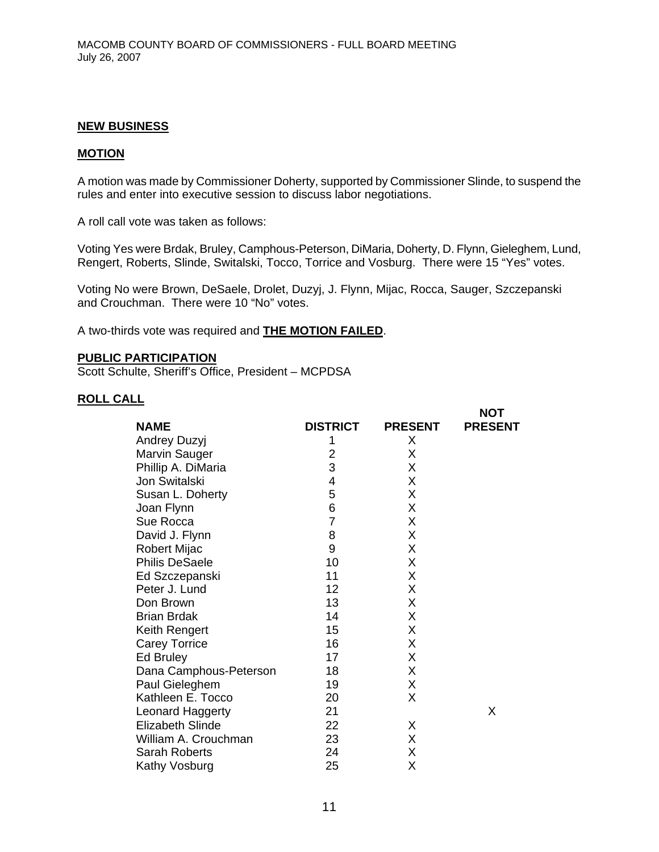#### **NEW BUSINESS**

#### **MOTION**

A motion was made by Commissioner Doherty, supported by Commissioner Slinde, to suspend the rules and enter into executive session to discuss labor negotiations.

A roll call vote was taken as follows:

Voting Yes were Brdak, Bruley, Camphous-Peterson, DiMaria, Doherty, D. Flynn, Gieleghem, Lund, Rengert, Roberts, Slinde, Switalski, Tocco, Torrice and Vosburg. There were 15 "Yes" votes.

**NOT** 

Voting No were Brown, DeSaele, Drolet, Duzyj, J. Flynn, Mijac, Rocca, Sauger, Szczepanski and Crouchman. There were 10 "No" votes.

A two-thirds vote was required and **THE MOTION FAILED**.

#### **PUBLIC PARTICIPATION**

Scott Schulte, Sheriff's Office, President – MCPDSA

### **ROLL CALL**

|                         |                 |                | ו שיו          |
|-------------------------|-----------------|----------------|----------------|
| <b>NAME</b>             | <b>DISTRICT</b> | <b>PRESENT</b> | <b>PRESENT</b> |
| Andrey Duzyj            | 1               | X              |                |
| Marvin Sauger           | 2               | X              |                |
| Phillip A. DiMaria      | 3               | X              |                |
| Jon Switalski           | 4               | X              |                |
| Susan L. Doherty        | 5               | X              |                |
| Joan Flynn              | 6               | X              |                |
| Sue Rocca               | 7               | Χ              |                |
| David J. Flynn          | 8               | X              |                |
| <b>Robert Mijac</b>     | 9               | X              |                |
| <b>Philis DeSaele</b>   | 10              | X              |                |
| Ed Szczepanski          | 11              | X              |                |
| Peter J. Lund           | 12              | X              |                |
| Don Brown               | 13              | X              |                |
| <b>Brian Brdak</b>      | 14              | X              |                |
| Keith Rengert           | 15              | X              |                |
| <b>Carey Torrice</b>    | 16              | X              |                |
| Ed Bruley               | 17              | X              |                |
| Dana Camphous-Peterson  | 18              | X              |                |
| Paul Gieleghem          | 19              | X              |                |
| Kathleen E. Tocco       | 20              | X              |                |
| Leonard Haggerty        | 21              |                | X              |
| <b>Elizabeth Slinde</b> | 22              | X              |                |
| William A. Crouchman    | 23              | X              |                |
| <b>Sarah Roberts</b>    | 24              | X              |                |
| Kathy Vosburg           | 25              | Χ              |                |